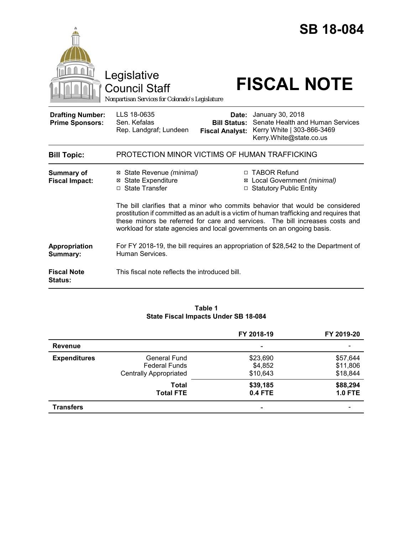|                                                   | <b>SB 18-084</b><br>Legislative<br><b>FISCAL NOTE</b><br>Council Staff<br>Nonpartisan Services for Colorado's Legislature                                                                                                                                                                                                           |  |  |
|---------------------------------------------------|-------------------------------------------------------------------------------------------------------------------------------------------------------------------------------------------------------------------------------------------------------------------------------------------------------------------------------------|--|--|
| <b>Drafting Number:</b><br><b>Prime Sponsors:</b> | LLS 18-0635<br>January 30, 2018<br>Date:<br>Senate Health and Human Services<br>Sen. Kefalas<br><b>Bill Status:</b><br>Kerry White   303-866-3469<br>Rep. Landgraf; Lundeen<br><b>Fiscal Analyst:</b><br>Kerry.White@state.co.us                                                                                                    |  |  |
| <b>Bill Topic:</b>                                | PROTECTION MINOR VICTIMS OF HUMAN TRAFFICKING                                                                                                                                                                                                                                                                                       |  |  |
| <b>Summary of</b><br><b>Fiscal Impact:</b>        | □ TABOR Refund<br>⊠ State Revenue (minimal)<br><b>State Expenditure</b><br>⊠ Local Government (minimal)<br>⊠<br>□ State Transfer<br>□ Statutory Public Entity                                                                                                                                                                       |  |  |
|                                                   | The bill clarifies that a minor who commits behavior that would be considered<br>prostitution if committed as an adult is a victim of human trafficking and requires that<br>these minors be referred for care and services. The bill increases costs and<br>workload for state agencies and local governments on an ongoing basis. |  |  |
| Appropriation<br>Summary:                         | For FY 2018-19, the bill requires an appropriation of \$28,542 to the Department of<br>Human Services.                                                                                                                                                                                                                              |  |  |
| <b>Fiscal Note</b><br><b>Status:</b>              | This fiscal note reflects the introduced bill.                                                                                                                                                                                                                                                                                      |  |  |

# **Table 1 State Fiscal Impacts Under SB 18-084**

|                     |                               | FY 2018-19     | FY 2019-20     |
|---------------------|-------------------------------|----------------|----------------|
| <b>Revenue</b>      |                               | ۰              |                |
| <b>Expenditures</b> | General Fund                  | \$23,690       | \$57,644       |
|                     | <b>Federal Funds</b>          | \$4,852        | \$11,806       |
|                     | <b>Centrally Appropriated</b> | \$10,643       | \$18,844       |
|                     | Total                         | \$39,185       | \$88,294       |
|                     | <b>Total FTE</b>              | <b>0.4 FTE</b> | <b>1.0 FTE</b> |
| <b>Transfers</b>    |                               | ۰              |                |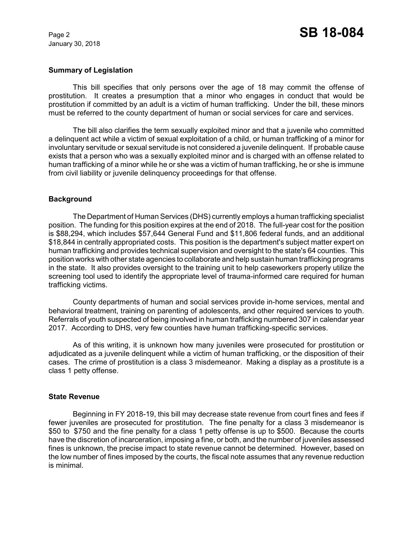January 30, 2018

## **Summary of Legislation**

This bill specifies that only persons over the age of 18 may commit the offense of prostitution. It creates a presumption that a minor who engages in conduct that would be prostitution if committed by an adult is a victim of human trafficking. Under the bill, these minors must be referred to the county department of human or social services for care and services.

The bill also clarifies the term sexually exploited minor and that a juvenile who committed a delinquent act while a victim of sexual exploitation of a child, or human trafficking of a minor for involuntary servitude or sexual servitude is not considered a juvenile delinquent. If probable cause exists that a person who was a sexually exploited minor and is charged with an offense related to human trafficking of a minor while he or she was a victim of human trafficking, he or she is immune from civil liability or juvenile delinquency proceedings for that offense.

### **Background**

The Department of Human Services (DHS) currently employs a human trafficking specialist position. The funding for this position expires at the end of 2018. The full-year cost for the position is \$88,294, which includes \$57,644 General Fund and \$11,806 federal funds, and an additional \$18,844 in centrally appropriated costs. This position is the department's subject matter expert on human trafficking and provides technical supervision and oversight to the state's 64 counties. This position works with other state agencies to collaborate and help sustain human trafficking programs in the state. It also provides oversight to the training unit to help caseworkers properly utilize the screening tool used to identify the appropriate level of trauma-informed care required for human trafficking victims.

County departments of human and social services provide in-home services, mental and behavioral treatment, training on parenting of adolescents, and other required services to youth. Referrals of youth suspected of being involved in human trafficking numbered 307 in calendar year 2017. According to DHS, very few counties have human trafficking-specific services.

As of this writing, it is unknown how many juveniles were prosecuted for prostitution or adjudicated as a juvenile delinquent while a victim of human trafficking, or the disposition of their cases. The crime of prostitution is a class 3 misdemeanor. Making a display as a prostitute is a class 1 petty offense.

#### **State Revenue**

Beginning in FY 2018-19, this bill may decrease state revenue from court fines and fees if fewer juveniles are prosecuted for prostitution. The fine penalty for a class 3 misdemeanor is \$50 to \$750 and the fine penalty for a class 1 petty offense is up to \$500. Because the courts have the discretion of incarceration, imposing a fine, or both, and the number of juveniles assessed fines is unknown, the precise impact to state revenue cannot be determined. However, based on the low number of fines imposed by the courts, the fiscal note assumes that any revenue reduction is minimal.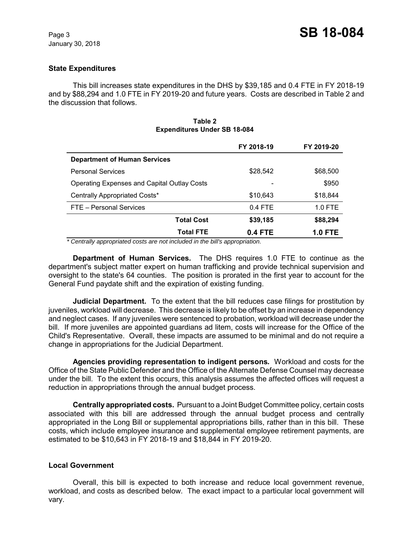## **State Expenditures**

This bill increases state expenditures in the DHS by \$39,185 and 0.4 FTE in FY 2018-19 and by \$88,294 and 1.0 FTE in FY 2019-20 and future years. Costs are described in Table 2 and the discussion that follows.

#### **Table 2 Expenditures Under SB 18-084**

|                                                    | FY 2018-19 | FY 2019-20     |
|----------------------------------------------------|------------|----------------|
| <b>Department of Human Services</b>                |            |                |
| <b>Personal Services</b>                           | \$28,542   | \$68,500       |
| <b>Operating Expenses and Capital Outlay Costs</b> |            | \$950          |
| Centrally Appropriated Costs*                      | \$10,643   | \$18,844       |
| FTE - Personal Services                            | $0.4$ FTE  | $1.0$ FTE      |
| <b>Total Cost</b>                                  | \$39,185   | \$88,294       |
| <b>Total FTE</b>                                   | 0.4 FTE    | <b>1.0 FTE</b> |

 *\* Centrally appropriated costs are not included in the bill's appropriation.*

**Department of Human Services.** The DHS requires 1.0 FTE to continue as the department's subject matter expert on human trafficking and provide technical supervision and oversight to the state's 64 counties. The position is prorated in the first year to account for the General Fund paydate shift and the expiration of existing funding.

**Judicial Department.** To the extent that the bill reduces case filings for prostitution by juveniles, workload will decrease. This decrease is likely to be offset by an increase in dependency and neglect cases. If any juveniles were sentenced to probation, workload will decrease under the bill. If more juveniles are appointed guardians ad litem, costs will increase for the Office of the Child's Representative. Overall, these impacts are assumed to be minimal and do not require a change in appropriations for the Judicial Department.

**Agencies providing representation to indigent persons***.* Workload and costs for the Office of the State Public Defender and the Office of the Alternate Defense Counsel may decrease under the bill. To the extent this occurs, this analysis assumes the affected offices will request a reduction in appropriations through the annual budget process.

**Centrally appropriated costs.** Pursuant to a Joint Budget Committee policy, certain costs associated with this bill are addressed through the annual budget process and centrally appropriated in the Long Bill or supplemental appropriations bills, rather than in this bill. These costs, which include employee insurance and supplemental employee retirement payments, are estimated to be \$10,643 in FY 2018-19 and \$18,844 in FY 2019-20.

## **Local Government**

Overall, this bill is expected to both increase and reduce local government revenue, workload, and costs as described below. The exact impact to a particular local government will vary.